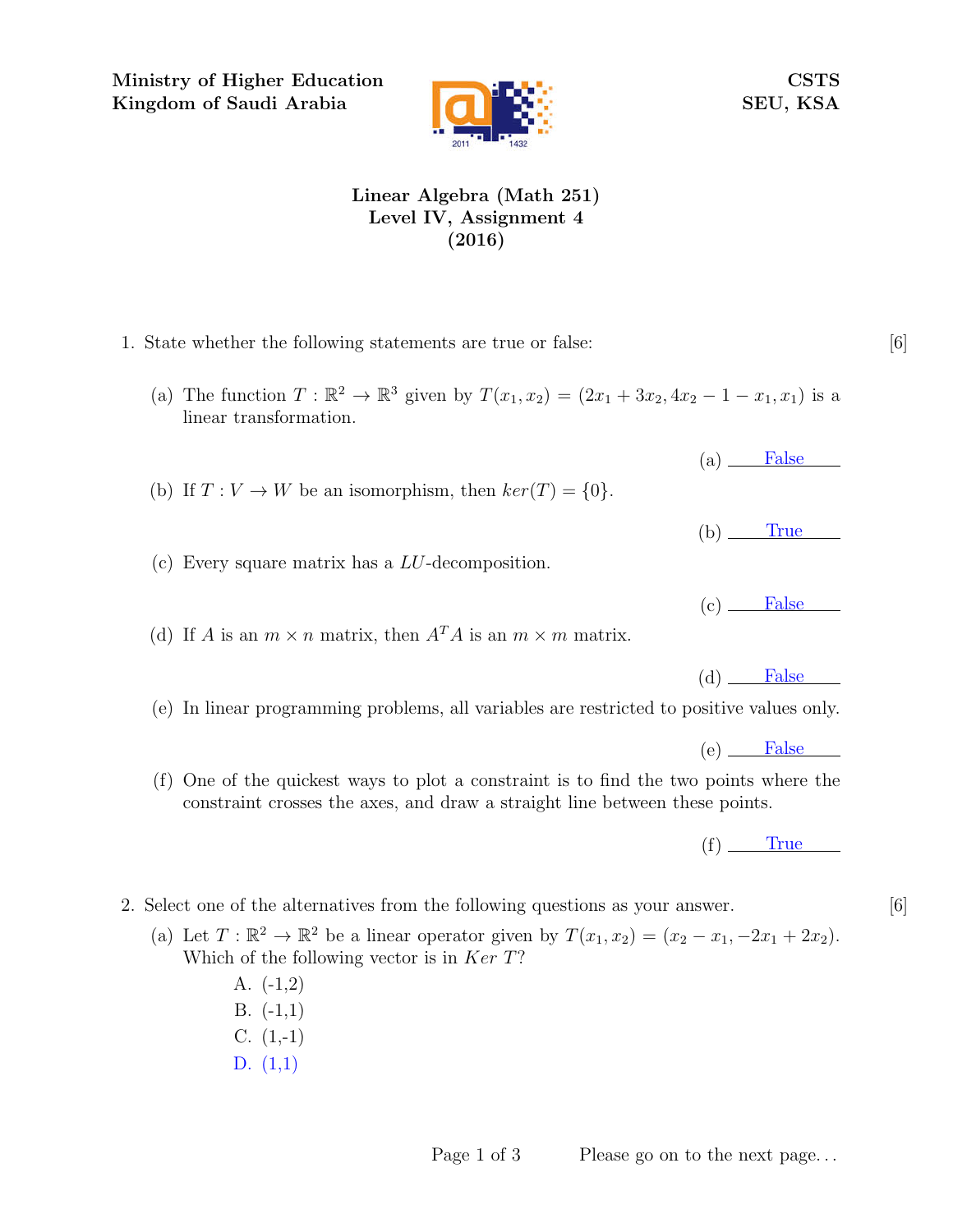Ministry of Higher Education Kingdom of Saudi Arabia



CSTS SEU, KSA

## Linear Algebra (Math 251) Level IV, Assignment 4 (2016)

- 1. State whether the following statements are true or false: [6]
	- (a) The function  $T : \mathbb{R}^2 \to \mathbb{R}^3$  given by  $T(x_1, x_2) = (2x_1 + 3x_2, 4x_2 1 x_1, x_1)$  is a linear transformation.
	- (b) If  $T: V \to W$  be an isomorphism, then  $ker(T) = \{0\}.$
	- (c) Every square matrix has a LU-decomposition.
	- (d) If A is an  $m \times n$  matrix, then  $A<sup>T</sup>A$  is an  $m \times m$  matrix.
	- (e) In linear programming problems, all variables are restricted to positive values only.
	- (f) One of the quickest ways to plot a constraint is to find the two points where the constraint crosses the axes, and draw a straight line between these points.

 $(f)$  True

- 2. Select one of the alternatives from the following questions as your answer. [6]
	- (a) Let  $T: \mathbb{R}^2 \to \mathbb{R}^2$  be a linear operator given by  $T(x_1, x_2) = (x_2 x_1, -2x_1 + 2x_2)$ . Which of the following vector is in  $Ker T$ ?
		- A. (-1,2) B. (-1,1)
		- $C. (1,-1)$
		- D. (1,1)

Page 1 of 3 Please go on to the next page...

 $(b)$  True

 $(a)$  False

 $(c)$  False

 $(d)$  False

(e) False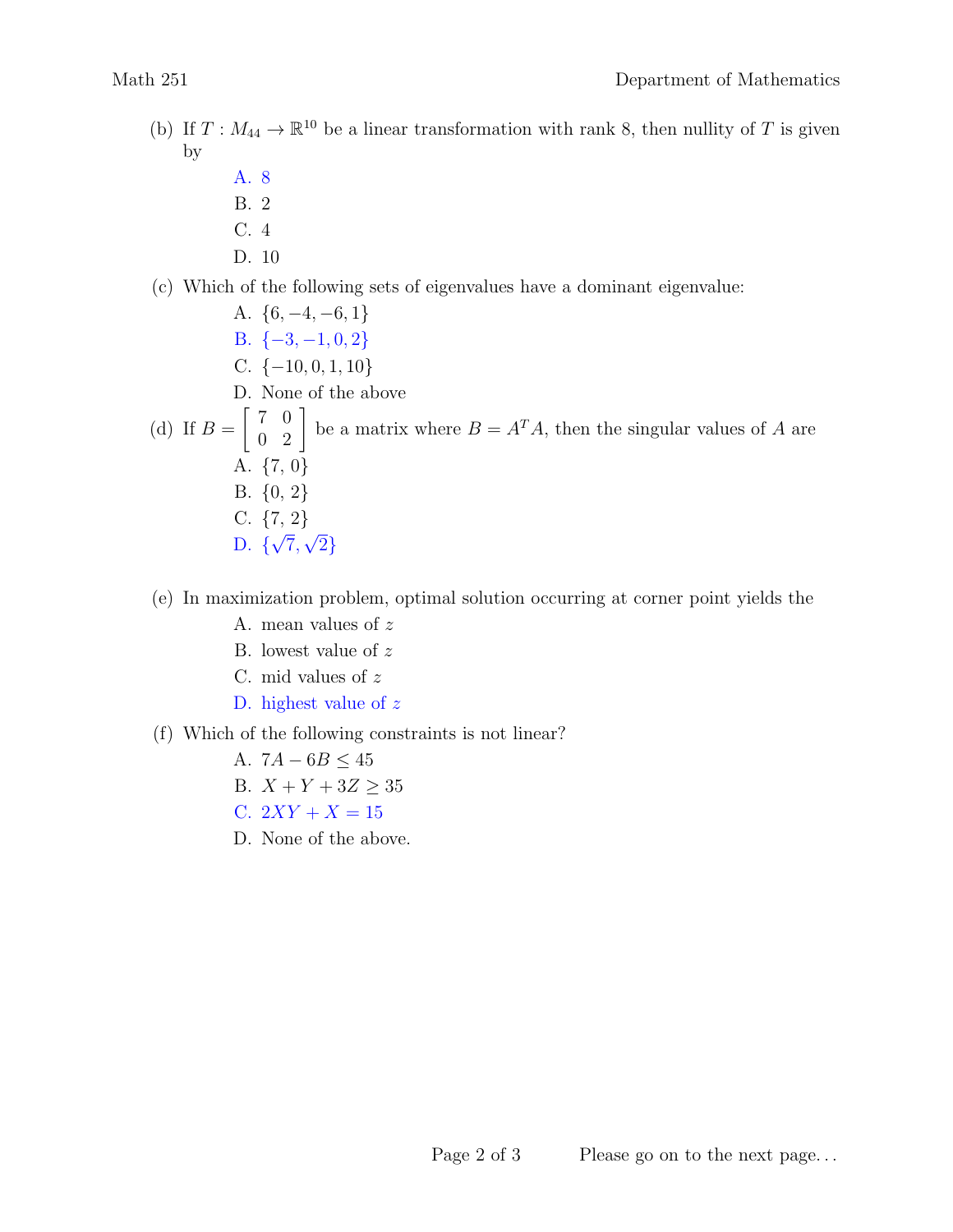- (b) If  $T: M_{44} \to \mathbb{R}^{10}$  be a linear transformation with rank 8, then nullity of T is given by
	- A. 8
	- B. 2
	- C. 4
	- D. 10
- (c) Which of the following sets of eigenvalues have a dominant eigenvalue:

A.  $\{6, -4, -6, 1\}$ B.  $\{-3, -1, 0, 2\}$ C.  $\{-10, 0, 1, 10\}$ D. None of the above (d) If  $B =$  $\left[\begin{array}{cc} 7 & 0 \\ 0 & 2 \end{array}\right]$ be a matrix where  $B = A<sup>T</sup>A$ , then the singular values of A are A. {7, 0} B. {0, 2} C.  $\{7, 2\}$ D. {  $^{\prime}$ 7, √ 2}

## (e) In maximization problem, optimal solution occurring at corner point yields the

- A. mean values of z
- B. lowest value of z
- C. mid values of z
- D. highest value of z
- (f) Which of the following constraints is not linear?
	- A.  $7A 6B \leq 45$
	- B.  $X + Y + 3Z \ge 35$
	- C.  $2XY + X = 15$
	- D. None of the above.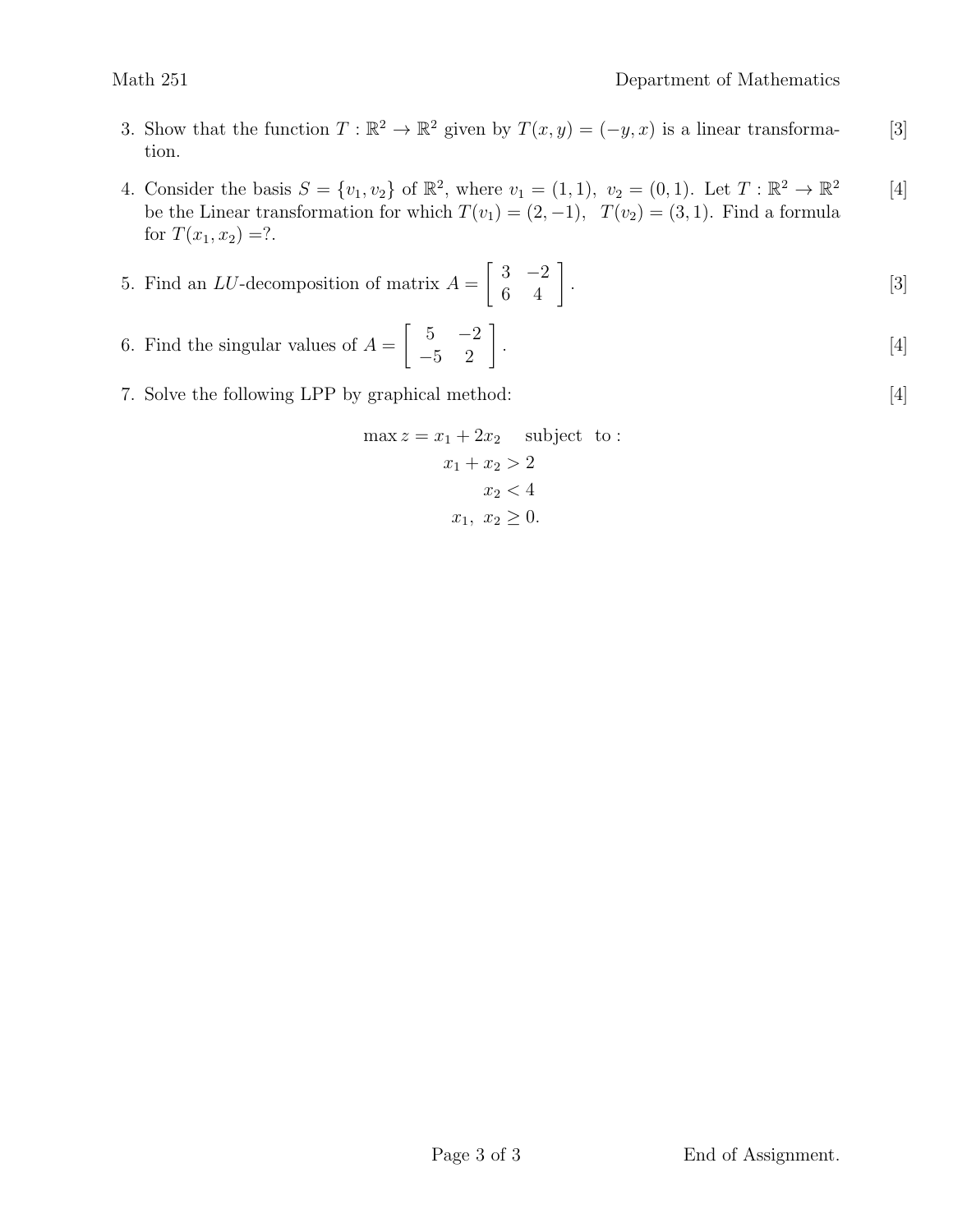- 3. Show that the function  $T : \mathbb{R}^2 \to \mathbb{R}^2$  given by  $T(x, y) = (-y, x)$  is a linear transforma- [3] tion.
- 4. Consider the basis  $S = \{v_1, v_2\}$  of  $\mathbb{R}^2$ , where  $v_1 = (1, 1)$ ,  $v_2 = (0, 1)$ . Let  $T : \mathbb{R}^2 \to \mathbb{R}^2$  [4] be the Linear transformation for which  $T(v_1) = (2, -1)$ ,  $T(v_2) = (3, 1)$ . Find a formula for  $T(x_1, x_2) = ?$ .

5. Find an *LU*-decomposition of matrix 
$$
A = \begin{bmatrix} 3 & -2 \\ 6 & 4 \end{bmatrix}
$$
. [3]

- 6. Find the singular values of  $A = \begin{bmatrix} 5 & -2 \\ -5 & 2 \end{bmatrix}$ .  $[4]$
- 7. Solve the following LPP by graphical method: [4]

$$
\max z = x_1 + 2x_2 \quad \text{subject to :}
$$
\n
$$
x_1 + x_2 > 2
$$
\n
$$
x_2 < 4
$$
\n
$$
x_1, x_2 \ge 0.
$$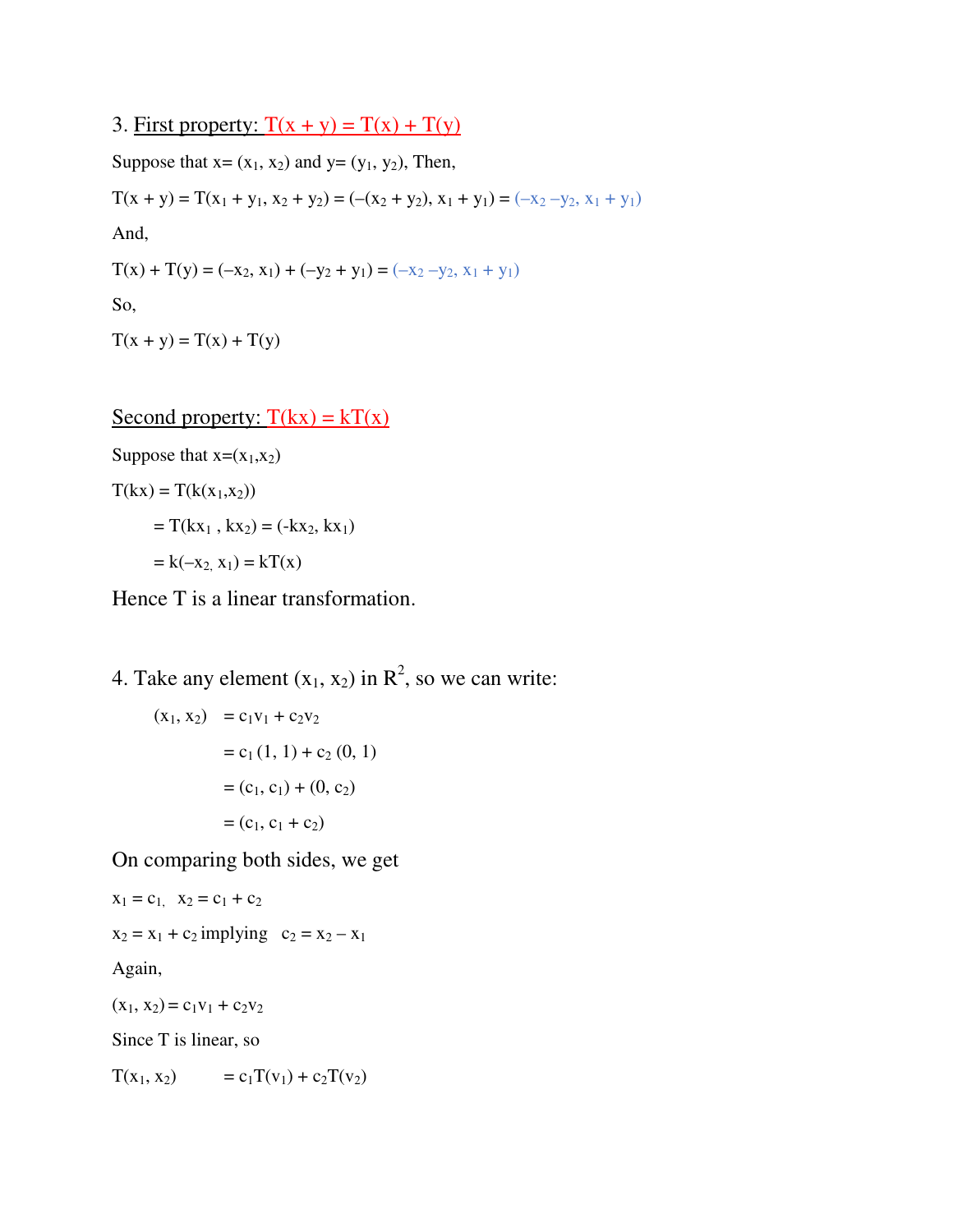3. First property:  $T(x + y) = T(x) + T(y)$ 

Suppose that  $x=(x_1, x_2)$  and  $y=(y_1, y_2)$ , Then,  $T(x + y) = T(x_1 + y_1, x_2 + y_2) = (-(x_2 + y_2), x_1 + y_1) = (-x_2 - y_2, x_1 + y_1)$ And,  $T(x) + T(y) = (-x_2, x_1) + (-y_2 + y_1) = (-x_2 - y_2, x_1 + y_1)$ So,  $T(x + y) = T(x) + T(y)$ 

Second property:  $T(kx) = kT(x)$ 

Suppose that  $x=(x_1,x_2)$ 

 $T(kx) = T(k(x_1,x_2))$  $= T(kx_1, kx_2) = (-kx_2, kx_1)$  $= k(-x_2, x_1) = kT(x)$ 

Hence T is a linear transformation.

4. Take any element  $(x_1, x_2)$  in  $\mathbb{R}^2$ , so we can write:

$$
(x_1, x_2) = c_1v_1 + c_2v_2
$$
  
= c<sub>1</sub> (1, 1) + c<sub>2</sub> (0, 1)  
= (c<sub>1</sub>, c<sub>1</sub>) + (0, c<sub>2</sub>)  
= (c<sub>1</sub>, c<sub>1</sub> + c<sub>2</sub>)

On comparing both sides, we get

 $x_1 = c_1$ ,  $x_2 = c_1 + c_2$  $x_2 = x_1 + c_2$  implying  $c_2 = x_2 - x_1$ Again,  $(x_1, x_2) = c_1v_1 + c_2v_2$ Since T is linear, so

 $T(x_1, x_2) = c_1T(v_1) + c_2T(v_2)$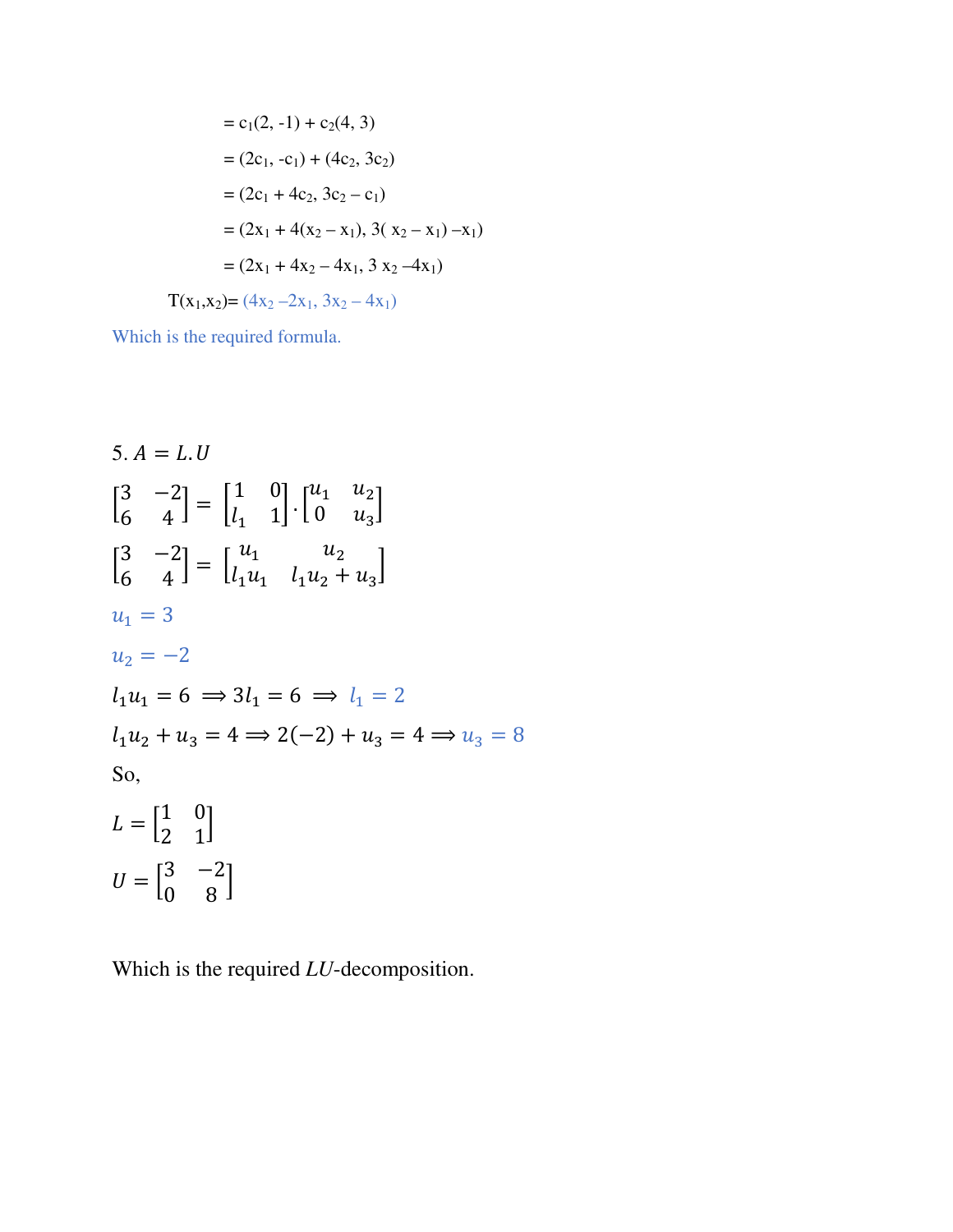$$
= c_1(2, -1) + c_2(4, 3)
$$
  
\n
$$
= (2c_1, -c_1) + (4c_2, 3c_2)
$$
  
\n
$$
= (2c_1 + 4c_2, 3c_2 - c_1)
$$
  
\n
$$
= (2x_1 + 4(x_2 - x_1), 3(x_2 - x_1) - x_1)
$$
  
\n
$$
= (2x_1 + 4x_2 - 4x_1, 3x_2 - 4x_1)
$$

 $T(x_1,x_2)=(4x_2-2x_1, 3x_2-4x_1)$ 

Which is the required formula.

5. 
$$
A = L.U
$$
  
\n
$$
\begin{bmatrix} 3 & -2 \ 6 & 4 \end{bmatrix} = \begin{bmatrix} 1 & 0 \ l_1 & 1 \end{bmatrix} \cdot \begin{bmatrix} u_1 & u_2 \ 0 & u_3 \end{bmatrix}
$$
\n
$$
\begin{bmatrix} 3 & -2 \ 6 & 4 \end{bmatrix} = \begin{bmatrix} u_1 & u_2 \ l_1u_1 & l_1u_2 + u_3 \end{bmatrix}
$$
\n
$$
u_1 = 3
$$
\n
$$
u_2 = -2
$$
\n
$$
l_1u_1 = 6 \implies 3l_1 = 6 \implies l_1 = 2
$$
\n
$$
l_1u_2 + u_3 = 4 \implies 2(-2) + u_3 = 4 \implies u_3 = 8
$$
\nSo,\n
$$
L = \begin{bmatrix} 1 & 0 \ 2 & 1 \end{bmatrix}
$$
\n
$$
U = \begin{bmatrix} 3 & -2 \ 0 & 8 \end{bmatrix}
$$

Which is the required *LU*-decomposition.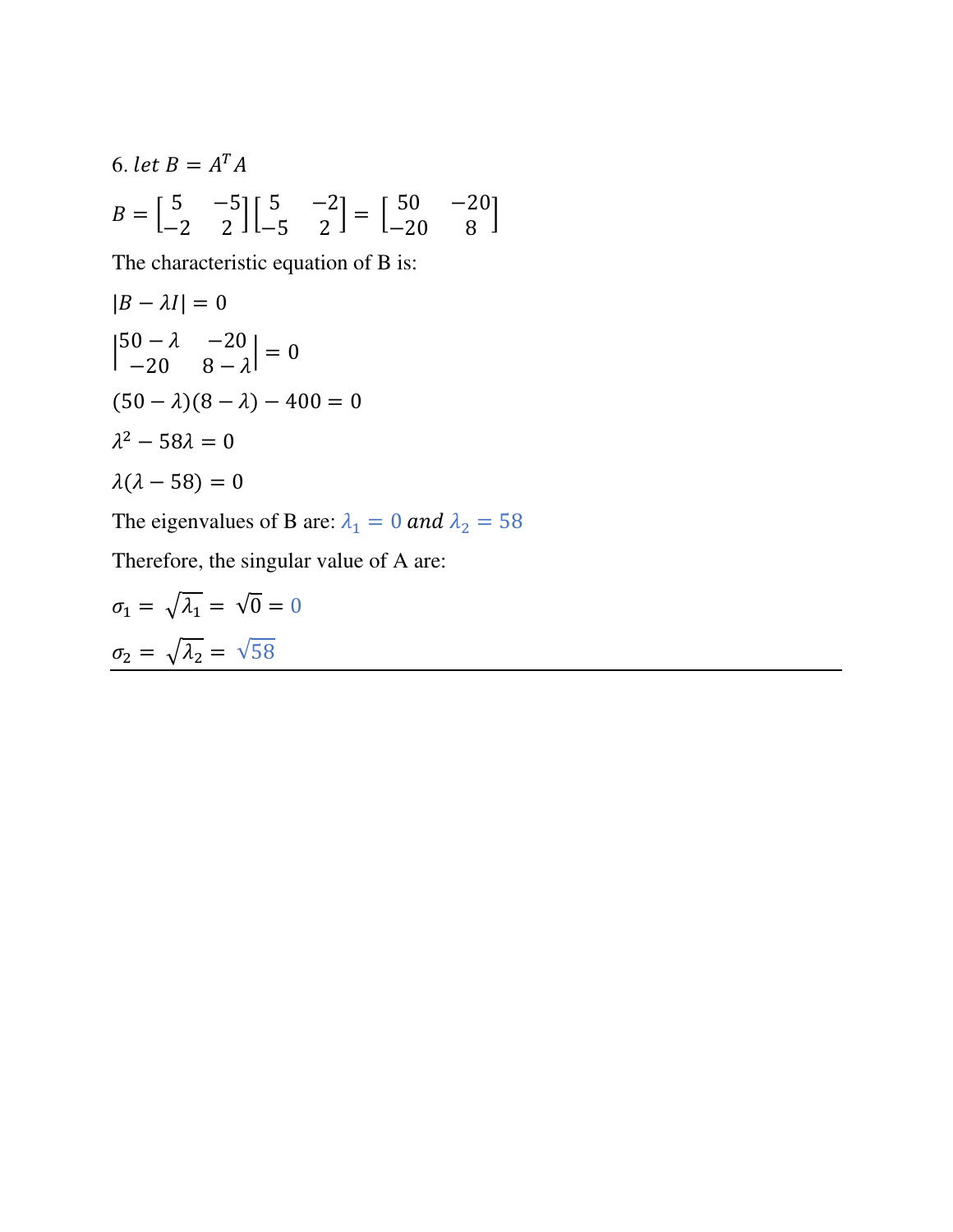6. let 
$$
B = A^T A
$$
  
\n
$$
B = \begin{bmatrix} 5 & -5 \\ -2 & 2 \end{bmatrix} \begin{bmatrix} 5 & -2 \\ -5 & 2 \end{bmatrix} = \begin{bmatrix} 50 & -20 \\ -20 & 8 \end{bmatrix}
$$

The characteristic equation of B is:

$$
|B - \lambda I| = 0
$$
  
\n
$$
\begin{vmatrix} 50 - \lambda & -20 \\ -20 & 8 - \lambda \end{vmatrix} = 0
$$
  
\n
$$
(50 - \lambda)(8 - \lambda) - 400 = 0
$$
  
\n
$$
\lambda^2 - 58\lambda = 0
$$
  
\n
$$
\lambda(\lambda - 58) = 0
$$

The eigenvalues of B are:  $\lambda_1 = 0$  and  $\lambda_2 = 58$ 

Therefore, the singular value of A are:

$$
\sigma_1 = \sqrt{\lambda_1} = \sqrt{0} = 0
$$

$$
\sigma_2 = \sqrt{\lambda_2} = \sqrt{58}
$$